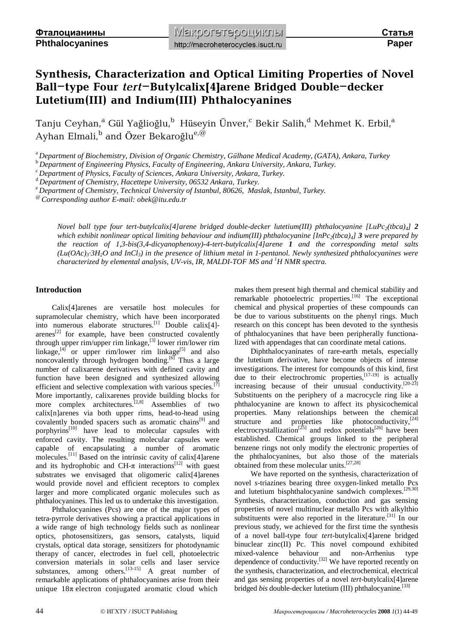# **Synthesis, Characterization and Optical Limiting Properties of Novel Ball-type Four** *tert***-Butylcalix[4]arene Bridged Double-decker Lutetium(III) and Indium(III) Phthalocyanines**

Tanju Ceyhan, $\mathrm{^a}$  Gül Yağlioğlu, $\mathrm{^b}$  Hüseyin Ünver, $\mathrm{^c}$  Bekir Salih, $\mathrm{^d}$  Mehmet K. Erbil, $\mathrm{^a}$ Ayhan Elmali,<sup>b</sup> and Özer Bekaroğlu<sup>e,@</sup>

<sup>a</sup>*Department of Biochemistry, Division of Organic Chemistry, Gülhane Medical Academy, (GATA), Ankara, Turkey* 

<sup>b</sup>*Department of Engineering Physics, Faculty of Engineering, Ankara University, Ankara, Turkey.* 

<sup>c</sup>*Department of Physics, Faculty of Sciences, Ankara University, Ankara, Turkey.* 

<sup>d</sup>*Department of Chemistry, Hacettepe University, 06532 Ankara, Turkey.* 

<sup>e</sup>*Department of Chemistry, Technical University of Istanbul, 80626, Maslak, Istanbul, Turkey.* 

*@ Corresponding author E-mail: [obek@itu.edu.tr](mailto:obek@itu.edu.tr)* 

*Novel ball type four tert-butylcalix[4]arene bridged double-decker lutetium(III) phthalocyanine [LuPc2(tbca)4] 2* which exhibit nonlinear optical limiting behaviour and indium(III) phthalocyanine  $[InPc_2(tbca)_4]$  3 were prepared by *the reaction of 1,3-bis(3,4-dicyanophenoxy)-4-tert*-*butylcalix[4]arene 1 and the corresponding metal salts*   $(Lu(OAc)<sub>3</sub>:3H<sub>2</sub>O$  and InCl<sub>3</sub>) in the presence of lithium metal in 1-pentanol. Newly synthesized phthalocyanines were *characterized by elemental analysis, UV-vis, IR, MALDI-TOF MS and <sup>1</sup>H NMR spectra.* 

# **Introduction**

Calix[4]arenes are versatile host molecules for supramolecular chemistry, which have been incorporated into numerous elaborate structures.<sup>[1]</sup> Double calix[4]- $\arenes^{[2]}$  for example, have been constructed covalently through upper rim/upper rim linkage,  $[3]$  lower rim/lower rim linkage, $[4]$  or upper rim/lower rim linkage $[5]$  and also noncovalently through hydrogen bonding.<sup>[6]</sup> Thus a large number of calixarene derivatives with defined cavity and function have been designed and synthesized allowing efficient and selective complexation with various species.<sup>[7]</sup> More importantly, calixarenes provide building blocks for more complex architectures.<sup>[2,8]</sup> Assemblies of two calix[n]arenes via both upper rims, head-to-head using covalently bonded spacers such as aromatic chains<sup>[9]</sup> and porphyrins $[10]$  have lead to molecular capsules with enforced cavity. The resulting molecular capsules were capable of encapsulating a number of aromatic molecules.[11] Based on the intrinsic cavity of calix[4]arene and its hydrophobic and CH- $\pi$  interactions<sup>[12]</sup> with guest substrates we envisaged that oligomeric calix[4]arenes would provide novel and efficient receptors to complex larger and more complicated organic molecules such as phthalocyanines. This led us to undertake this investigation.

Phthalocyanines (Pcs) are one of the major types of tetra-pyrrole derivatives showing a practical applications in a wide range of high technology fields such as nonlinear optics, photosensitizers, gas sensors, catalysts, liquid crystals, optical data storage, sensitizers for photodynamic therapy of cancer, electrodes in fuel cell, photoelectric conversion materials in solar cells and laser service substances, among others.  $[13-15]$  A great number of remarkable applications of phthalocyanines arise from their unique  $18\pi$  electron conjugated aromatic cloud which

makes them present high thermal and chemical stability and remarkable photoelectric properties.<sup>[16]</sup> The exceptional chemical and physical properties of these compounds can be due to various substituents on the phenyl rings. Much research on this concept has been devoted to the synthesis of phthalocyanines that have been peripherally functionalized with appendages that can coordinate metal cations.

Diphthalocyaninates of rare-earth metals, especially the lutetium derivative, have become objects of intense investigations. The interest for compounds of this kind, first due to their electrochromic properties,  $[17-19]$  is actually increasing because of their unusual conductivity.  $[20-23]$ Substituents on the periphery of a macrocycle ring like a phthalocyanine are known to affect its physicochemical properties. Many relationships between the chemical structure and properties like photoconductivity, $^{[24]}$ electrocrystallization<sup>[25]</sup> and redox potentials<sup>[26]</sup> have been established. Chemical groups linked to the peripheral benzene rings not only modify the electronic properties of the phthalocyanines, but also those of the materials obtained from these molecular units.[27,28]

We have reported on the synthesis, characterization of novel *s*-triazines bearing three oxygen-linked metallo Pcs and lutetium bisphthalocyanine sandwich complexes.[29,30] Synthesis, characterization, conduction and gas sensing properties of novel multinuclear metallo Pcs with alkylthio substituents were also reported in the literature.<sup>[31]</sup> In our previous study, we achieved for the first time the synthesis of a novel ball-type four *tert*-butylcalix[4]arene bridged binuclear zinc(II) Pc. This novel compound exhibited mixed-valence behaviour and non-Arrhenius type dependence of conductivity.<sup>[32]</sup> We have reported recently on the synthesis, characterization, and electrochemical, electrical and gas sensing properties of a novel *tert*-butylcalix[4]arene bridged *bis* double-decker lutetium (III) phthalocyanine.<sup>[33]</sup>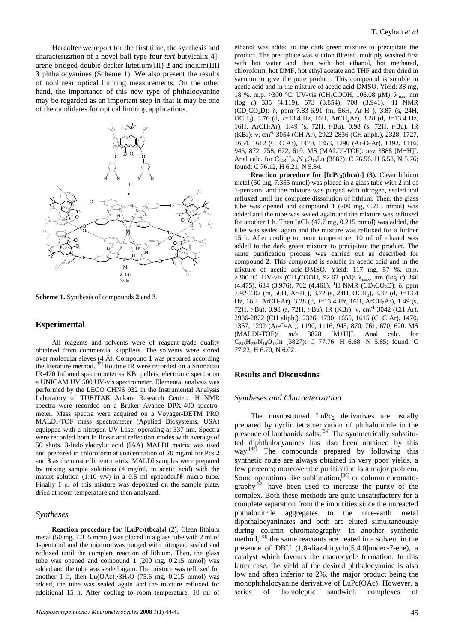Hereafter we report for the first time, the synthesis and characterization of a novel ball type four *tert*-butylcalix[4] arene bridged double-decker lutetium(III) **2** and indium(III) **3** phthalocyanines (Scheme 1). We also present the results of nonlinear optical limiting measurements. On the other hand, the importance of this new type of phthalocyanine may be regarded as an important step in that it may be one of the candidates for optical limiting applications.



**Scheme 1.** Synthesis of compounds **2** and **3**.

#### **Experimental**

All reagents and solvents were of reagent-grade quality obtained from commercial suppliers. The solvents were stored over molecular sieves (4 Å). Compound **1** was prepared according the literature method.<sup>[32]</sup> Routine IR were recorded on a Shimadzu IR-470 Infrared spectrometer as KBr pellets, electronic spectra on a UNICAM UV 500 UV-vis spectrometer. Elemental analysis was performed by the LECO CHNS 932 in the Instrumental Analysis Laboratory of TUBITAK Ankara Research Center. <sup>1</sup>H NMR spectra were recorded on a Bruker Avance DPX-400 spectrometer. Mass spectra were acquired on a Voyager-DETM PRO MALDI-TOF mass spectrometer (Applied Biosystems, USA) equipped with a nitrogen UV-Laser operating at 337 nm. Spectra were recorded both in linear and reflection modes with average of 50 shots. 3-Indolylacrylic acid (IAA) MALDI matrix was used and prepared in chloroform at concentration of 20 mg/ml for Pcs **2** and **3** as the most efficient matrix. MALDI samples were prepared by mixing sample solutions (4 mg/ml, in acetic acid) with the matrix solution (1:10 v/v) in a 0.5 ml eppendorf $\circledR$  micro tube. Finally 1 μl of this mixture was deposited on the sample plate, dried at room temperature and then analyzed.

## *Syntheses*

**Reaction procedure for [LuPc<sup>2</sup> (tbca)<sup>4</sup> ]** (**2**). Clean lithium metal (50 mg, 7.355 mmol) was placed in a glass tube with 2 ml of 1-pentanol and the mixture was purged with nitrogen, sealed and refluxed until the complete reaction of lithium. Then, the glass tube was opened and compound **1** (200 mg, 0.215 mmol) was added and the tube was sealed again. The mixture was refluxed for another 1 h, then  $Lu(OAc)_3.3H_2O$  (75.6 mg, 0.215 mmol) was added, the tube was sealed again and the mixture refluxed for additional 15 h. After cooling to room temperature, 10 ml of

ethanol was added to the dark green mixture to precipitate the product. The precipitate was suction filtered, multiply washed first with hot water and then with hot ethanol, hot methanol, chloroform, hot DMF, hot ethyl acetate and THF and then dried in vacuum to give the pure product. This compound is soluble in acetic acid and in the mixture of acetic acid-DMSO. Yield: 38 mg, 18 %. m.p. >300 °C. UV-vis (CH<sub>3</sub>COOH, 106.08 μM): λ<sub>max</sub>, nm (log ε) 335 (4.119), 673 (3.854), 708 (3.941). <sup>1</sup>H NMR (CD3CO2D): δ, ppm 7.83-6.91 (m, 56H, Ar-H ), 3.87 (s, 24H, OCH<sup>3</sup> ), 3.76 (d, *J*=13.4 Hz, 16H, ArCH2Ar), 3.28 (d, *J*=13.4 Hz, 16H, ArCH2Ar), 1.49 (s, 72H, *t-*Bu), 0.98 (s, 72H, *t-*Bu). IR (KBr): v, cm<sup>-1</sup> 3054 (CH Ar), 2922-2836 (CH aliph.), 2328, 1727, 1654, 1612 (C=C Ar), 1470, 1358, 1290 (Ar-O-Ar), 1192, 1116, 945, 872, 758, 672, 619. MS (MALDI-TOF):  $m/z$  3888 [M+H]<sup>+</sup>. Anal calc. for C<sub>248</sub>H<sub>256</sub>N<sub>16</sub>O<sub>16</sub>Lu (3887): C 76.56, H 6.58, N 5.76; found: C 76.12, H 6.21, N 5.84.

**Reaction procedure for [InPc<sup>2</sup> (tbca)<sup>4</sup> ]** (**3**)**.** Clean lithium metal (50 mg, 7.355 mmol) was placed in a glass tube with 2 ml of 1-pentanol and the mixture was purged with nitrogen, sealed and refluxed until the complete dissolution of lithium. Then, the glass tube was opened and compound **1** (200 mg, 0.215 mmol) was added and the tube was sealed again and the mixture was refluxed for another 1 h. Then  $InCl<sub>3</sub>$  (47.7 mg, 0.215 mmol) was added, the tube was sealed again and the mixture was refluxed for a further 15 h. After cooling to room temperature, 10 ml of ethanol was added to the dark green mixture to precipitate the product. The same purification process was carried out as described for compound **2**. This compound is soluble in acetic acid and in the mixture of acetic acid-DMSO. Yield: 117 mg, 57 %. m.p. >300 °C. UV-vis (CH<sub>3</sub>COOH, 92.62 μM): λ<sub>max</sub>, nm (log ε) 346 (4.475), 634 (3.976), 702 (4.461). <sup>1</sup>H NMR (CD3CO2D): δ, ppm 7.92-7.02 (m, 56H, Ar-H ), 3.72 (s, 24H, OCH<sup>3</sup> ), 3.37 (d, *J*=13.4 Hz, 16H, ArCH<sub>2</sub>Ar), 3.28 (d, J=13.4 Hz, 16H, ArCH<sub>2</sub>Ar), 1.49 (s, 72H, *t*-Bu), 0.98 (s, 72H, *t*-Bu). IR (KBr): v, cm<sup>-1</sup> 3042 (CH Ar), 2936-2872 (CH aliph.), 2326, 1730, 1655, 1615 (C=C Ar), 1470, 1357, 1292 (Ar-O-Ar), 1190, 1116, 945, 870, 761, 670, 620. MS  $(MALDI-TOF): m/z$  3828  $[M+H]^+$ . Anal calc. for  $C_{248}H_{256}N_{16}O_{16}$ In (3827): C 77.76, H 6.68, N 5.85; found: C 77.22, H 6.70, N 6.02.

## **Results and Discussions**

#### *Syntheses and Characterization*

The unsubstituted  $LuPc<sub>2</sub>$  derivatives are usually prepared by cyclic tetramerization of phthalonitrile in the presence of lanthanide salts. $[34]$  The symmetrically substituted diphthalocyanines has also been obtained by this way.<sup>[35]</sup> The compounds prepared by following this synthetic route are always obtained in very poor yields, a few percents; moreover the purification is a major problem. Some operations like sublimation, $[36]$  or column chromato $graphy^{[37]}$  have been used to increase the purity of the complex. Both these methods are quite unsatisfactory for a complete separation from the impurities since the unreacted phthalonitrile aggregates to the rare-earth metal diphthalocyaninates and both are eluted simultaneously during column chromatography. In another synthetic method,<sup>[38]</sup> the same reactants are heated in a solvent in the presence of DBU (1,8-diazabicyclo[5.4.0]undec-7-ene), a catalyst which favours the macrocycle formation. In this latter case, the yield of the desired phthalocyanine is also low and often inferior to 2%, the major product being the monophthalocyanine derivative of LuPc(OAc). However, a series of homoleptic sandwich complexes of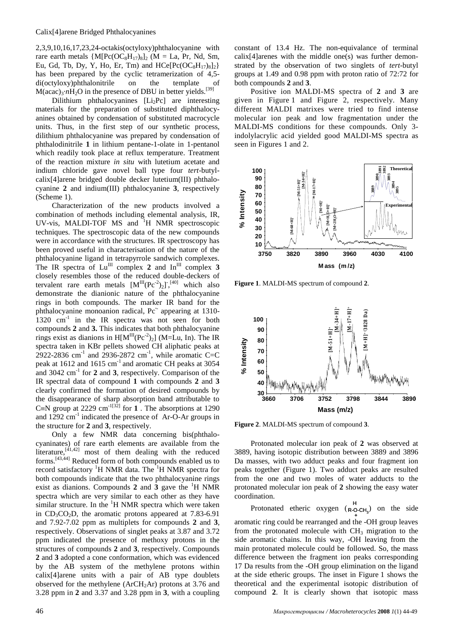2,3,9,10,16,17,23,24-octakis(octyloxy)phthalocyanine with rare earth metals  ${M[PC(OC<sub>8</sub>H<sub>17</sub>)<sub>8</sub>]}_2$  (M = La, Pr, Nd, Sm, Eu, Gd, Tb, Dy, Y, Ho, Er, Tm) and  $HCe[Pe(OC_8H_{17})_8]_2$ has been prepared by the cyclic tetramerization of 4,5 di(octyloxy)phthalonitrile on the template  $M (acac)<sub>3</sub>·nH<sub>2</sub>O$  in the presence of DBU in better yields.<sup>[39]</sup>

Dilithium phthalocyanines  $[Li_2Pc]$  are interesting materials for the preparation of substituted diphthalocyanines obtained by condensation of substituted macrocycle units. Thus, in the first step of our synthetic process, dilithium phthalocyanine was prepared by condensation of phthalodinitrile **1** in lithium pentane-1-olate in 1-pentanol which readily took place at reflux temperature. Treatment of the reaction mixture *in situ* with lutetium acetate and indium chloride gave novel ball type four *tert*-butylcalix[4]arene bridged double decker lutetium(III) phthalocyanine **2** and indium(III) phthalocyanine **3**, respectively (Scheme 1).

Characterization of the new products involved a combination of methods including elemental analysis, IR, UV-vis, MALDI-TOF MS and <sup>1</sup>H NMR spectroscopic techniques. The spectroscopic data of the new compounds were in accordance with the structures. IR spectroscopy has been proved useful in characterisation of the nature of the phthalocyanine ligand in tetrapyrrole sandwich complexes. The IR spectra of  $Lu^{\text{III}}$  complex **2** and  $In^{\text{III}}$  complex **3** closely resembles those of the reduced double-deckers of tervalent rare earth metals  $[M^{III}(Pc^{-2})_2]^{-1/40}$  which also demonstrate the dianionic nature of the phthalocyanine rings in both compounds. The marker IR band for the phthalocyanine monoanion radical, Pc**·-** appearing at 1310-  $1320 \text{ cm}^{-1}$  in the IR spectra was not seen for both compounds **2** and **3.** This indicates that both phthalocyanine rings exist as dianions in  $H[M^{III}(Pc^2)_2]$  (M=Lu, In). The IR spectra taken in KBr pellets showed CH aliphatic peaks at  $2922 - 2836$  cm<sup>-1</sup> and  $2936 - 2872$  cm<sup>-1</sup>, while aromatic C=C peak at 1612 and 1615 cm<sup>-1</sup> and aromatic CH peaks at 3054 and 3042 cm<sup>-1</sup> for **2** and **3**, respectively. Comparison of the IR spectral data of compound **1** with compounds **2** and **3** clearly confirmed the formation of desired compounds by the disappearance of sharp absorption band attributable to C=N group at 2229 cm<sup>-1[32]</sup> for **1**. The absorptions at 1290 and 1292 cm<sup>-1</sup> indicated the presence of Ar-O-Ar groups in the structure for **2** and **3**, respectively.

Only a few NMR data concerning bis(phthalocyaninates) of rare earth elements are available from the literature, $[41,42]$  most of them dealing with the reduced forms.[43,44] Reduced form of both compounds enabled us to record satisfactory  ${}^{1}H$  NMR data. The  ${}^{1}H$  NMR spectra for both compounds indicate that the two phthalocyanine rings exist as dianions. Compounds  $2$  and  $3$  gave the  ${}^{1}H$  NMR spectra which are very similar to each other as they have similar structure. In the  ${}^{1}$ H NMR spectra which were taken in  $CD_3CO_2D$ , the aromatic protons appeared at 7.83-6.91 and 7.92-7.02 ppm as multiplets for compounds **2** and **3**, respectively. Observations of singlet peaks at 3.87 and 3.72 ppm indicated the presence of methoxy protons in the structures of compounds **2** and **3**, respectively. Compounds **2** and **3** adopted a cone conformation, which was evidenced by the AB system of the methylene protons within calix[4]arene units with a pair of AB type doublets observed for the methylene  $(ArCH<sub>2</sub>Ar)$  protons at 3.76 and 3.28 ppm in **2** and 3.37 and 3.28 ppm in **3**, with a coupling

constant of 13.4 Hz. The non-equivalance of terminal calix[4]arenes with the middle one(s) was further demonstrated by the observation of two singlets of *tert*-butyl groups at 1.49 and 0.98 ppm with proton ratio of 72:72 for both compounds **2** and **3**.

Positive ion MALDI-MS spectra of **2** and **3** are given in Figure 1 and Figure 2, respectively. Many different MALDI matrixes were tried to find intense molecular ion peak and low fragmentation under the MALDI-MS conditions for these compounds. Only 3 indolylacrylic acid yielded good MALDI-MS spectra as seen in Figures 1 and 2.



**Figure 1**. MALDI-MS spectrum of compound **2**.



**Figure 2**. MALDI-MS spectrum of compound **3**.

Protonated molecular ion peak of **2** was observed at 3889, having isotopic distribution between 3889 and 3896 Da masses, with two adduct peaks and four fragment ion peaks together (Figure 1). Two adduct peaks are resulted from the one and two moles of water adducts to the protonated molecular ion peak of **2** showing the easy water coordination.

Protonated etheric oxygen  $(R-O-CH_3)$  on the side + aromatic ring could be rearranged and the -OH group leaves from the protonated molecule with  $CH<sub>3</sub>$  migration to the side aromatic chains. In this way, -OH leaving from the main protonated molecule could be followed. So, the mass difference between the fragment ion peaks corresponding 17 Da results from the -OH group elimination on the ligand at the side etheric groups. The inset in Figure 1 shows the theoretical and the experimental isotopic distribution of compound **2**. It is clearly shown that isotopic mass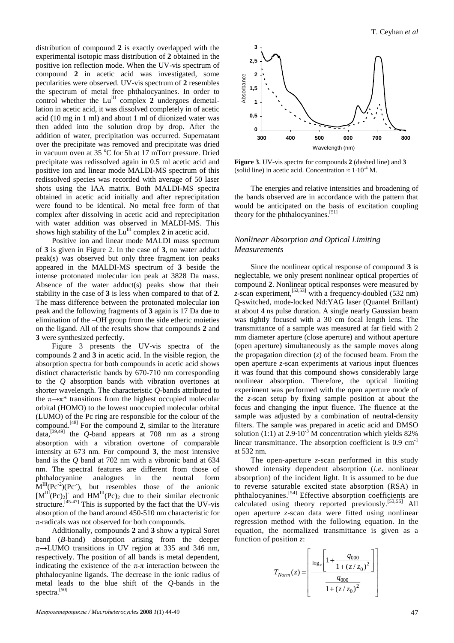distribution of compound **2** is exactly overlapped with the experimental isotopic mass distribution of **2** obtained in the positive ion reflection mode. When the UV-vis spectrum of compound **2** in acetic acid was investigated, some pecularities were observed. UV-vis spectrum of **2** resembles the spectrum of metal free phthalocyanines. In order to control whether the  $Lu^{III}$  complex  $2$  undergoes demetallation in acetic acid, it was dissolved completely in of acetic acid (10 mg in 1 ml) and about 1 ml of diionized water was then added into the solution drop by drop. After the addition of water, precipitation was occurred. Supernatant over the precipitate was removed and precipitate was dried in vacuum oven at 35  $\mathrm{^{\circ}C}$  for 5h at 17 mTorr pressure. Dried precipitate was redissolved again in 0.5 ml acetic acid and positive ion and linear mode MALDI-MS spectrum of this redissolved species was recorded with average of 50 laser shots using the IAA matrix. Both MALDI-MS spectra obtained in acetic acid initially and after reprecipitation were found to be identical. No metal free form of that complex after dissolving in acetic acid and reprecipitation with water addition was observed in MALDI-MS. This shows high stability of the  $Lu^{III}$  complex  $2$  in acetic acid.

Positive ion and linear mode MALDI mass spectrum of **3** is given in Figure 2. In the case of **3**, no water adduct peak(s) was observed but only three fragment ion peaks appeared in the MALDI-MS spectrum of **3** beside the intense protonated molecular ion peak at 3828 Da mass. Absence of the water adduct(s) peaks show that their stability in the case of **3** is less when compared to that of **2**. The mass difference between the protonated molecular ion peak and the following fragments of **3** again is 17 Da due to elimination of the –OH group from the side etheric moieties on the ligand. All of the results show that compounds **2** and **3** were synthesized perfectly.

Figure 3 presents the UV-vis spectra of the compounds **2** and **3** in acetic acid. In the visible region, the absorption spectra for both compounds in acetic acid shows distinct characteristic bands by 670-710 nm corresponding to the *Q* absorption bands with vibration overtones at shorter wavelength. The characteristic *Q*-bands attributed to the  $\pi \rightarrow \pi^*$  transitions from the highest occupied molecular orbital (HOMO) to the lowest unoccupied molecular orbital (LUMO) of the Pc ring are responsible for the colour of the compound.[48] For the compound **2**, similar to the literature data,<sup>[39,49]</sup> the *Q*-band appears at 708 nm as a strong absorption with a vibration overtone of comparable intensity at 673 nm. For compound **3**, the most intensive band is the *Q* band at 702 nm with a vibronic band at 634 nm. The spectral features are different from those of phthalocyanine analogues in the neutral form  $M^{III}(Pc^{-2})(Pc^{-})$ , but resembles those of the anionic  $[M^{III}(Pc)_2]$  and  $HM^{III}(Pc)_2$  due to their similar electronic structure.<sup>[45-47]</sup> This is supported by the fact that the UV-vis absorption of the band around 450-510 nm characteristic for π-radicals was not observed for both compounds.

Additionally, compounds **2** and **3** show a typical Soret band (*B-*band) absorption arising from the deeper  $\pi\rightarrow$ LUMO transitions in UV region at 335 and 346 nm, respectively. The position of all bands is metal dependent, indicating the existence of the  $\pi$ -π interaction between the phthalocyanine ligands. The decrease in the ionic radius of metal leads to the blue shift of the *Q*-bands in the spectra.<sup>[50]</sup>



**Figure 3**. UV-vis spectra for compounds **2** (dashed line) and **3** (solid line) in acetic acid. Concentration  $\approx 1.10^{4}$  M.

The energies and relative intensities and broadening of the bands observed are in accordance with the pattern that would be anticipated on the basis of excitation coupling theory for the phthalocyanines.<sup>[51]</sup>

# *Nonlinear Absorption and Optical Limiting Measurements*

Since the nonlinear optical response of compound **3** is neglectable, we only present nonlinear optical properties of compound **2**. Nonlinear optical responses were measured by *z*-scan experiment,<sup>[52,53]</sup> with a frequency-doubled (532 nm) Q-switched, mode-locked Nd:YAG laser (Quantel Brillant) at about 4 ns pulse duration. A single nearly Gaussian beam was tightly focused with a 30 cm focal length lens. The transmittance of a sample was measured at far field with 2 mm diameter aperture (close aperture) and without aperture (open aperture) simultaneously as the sample moves along the propagation direction (*z*) of the focused beam. From the open aperture *z*-scan experiments at various input fluences it was found that this compound shows considerably large nonlinear absorption. Therefore, the optical limiting experiment was performed with the open aperture mode of the *z*-scan setup by fixing sample position at about the focus and changing the input fluence. The fluence at the sample was adjusted by a combination of neutral-density filters. The sample was prepared in acetic acid and DMSO solution (1:1) at  $2.9 \cdot 10^{-3}$  M concentration which yields 82% linear transmittance. The absorption coefficient is 0.9 cm<sup>-1</sup> at 532 nm.

The open-aperture *z*-scan performed in this study showed intensity dependent absorption (*i.e.* nonlinear absorption) of the incident light. It is assumed to be due to reverse saturable excited state absorption (RSA) in phthalocyanines.[54] Effective absorption coefficients are calculated using theory reported previously.<sup>[53,55]</sup> All open aperture *z*-scan data were fitted using nonlinear regression method with the following equation. In the equation, the normalized transmittance is given as a function of position *z*:

$$
T_{Norm}(z) = \left[ \frac{\log_e \left[ 1 + \frac{q_{000}}{1 + (z/z_0)^2} \right]}{\frac{q_{000}}{1 + (z/z_0)^2}} \right]
$$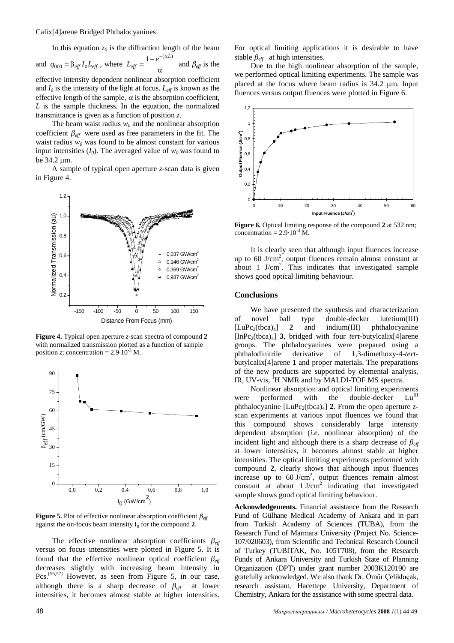Calix[4]arene Bridged Phthalocyanines

In this equation  $z_0$  is the diffraction length of the beam

and  $q_{000} = \beta_{eff} I_0 L_{eff}$ , where  $L_{eff} = \frac{1 - \epsilon}{\alpha}$  $=$  $\frac{1-}{1}$  $1 - e^{-(\alpha L)}$ *eff*  $L_{\text{eff}} = \frac{1 - e^{-(\alpha L)}}{2}$  and  $\beta_{\text{eff}}$  is the effective intensity dependent nonlinear absorption coefficient and  $I_0$  is the intensity of the light at focus.  $L_{\text{eff}}$  is known as the effective length of the sample,  $\alpha$  is the absorption coefficient, *L* is the sample thickness. In the equation, the normalized transmittance is given as a function of position *z*.

The beam waist radius  $w_0$  and the nonlinear absorption coefficient  $\beta_{\text{eff}}$  were used as free parameters in the fit. The waist radius  $w_0$  was found to be almost constant for various input intensities  $(I_0)$ . The averaged value of  $w_0$  was found to be 34.2 µm.

A sample of typical open aperture *z*-scan data is given in Figure 4.



**Figure 4.** Typical open aperture *z*-scan spectra of compound **2** with normalized transmission plotted as a function of sample position *z*; concentration =  $2.9 \cdot 10^{-3}$  M.



**Figure 5.** Plot of effective nonlinear absorption coefficient  $\beta_{\text{eff}}$ against the on-focus beam intensity  $I_0$  for the compound 2.

The effective nonlinear absorption coefficients  $\beta_{\text{eff}}$ versus on focus intensities were plotted in Figure 5. It is found that the effective nonlinear optical coefficient  $\beta_{\text{eff}}$ decreases slightly with increasing beam intensity in Pcs.<sup>[56,57]</sup> However, as seen from Figure 5, in our case, although there is a sharp decrease of  $\beta_{\text{eff}}$  at lower intensities, it becomes almost stable at higher intensities.

For optical limiting applications it is desirable to have stable  $\beta_{\text{eff}}$  at high intensities.

Due to the high nonlinear absorption of the sample, we performed optical limiting experiments. The sample was placed at the focus where beam radius is 34.2 µm. Input fluences versus output fluences were plotted in Figure 6.



**Figure 6.** Optical limiting response of the compound 2 at 532 nm; concentration =  $2.9 \cdot 10^{-3}$  M.

It is clearly seen that although input fluences increase up to 60 J/cm<sup>2</sup>, output fluences remain almost constant at about 1  $J/cm<sup>2</sup>$ . This indicates that investigated sample shows good optical limiting behaviour.

#### **Conclusions**

We have presented the synthesis and characterization of novel ball type double-decker lutetium(III)  $[LuPc_2(tbca)_4]$  **2** and indium(III) phthalocyanine  $[InPc<sub>2</sub>(tbca)<sub>4</sub>]$  3, bridged with four *tert*-butylcalix<sup>[4]</sup>arene groups. The phthalocyanines were prepared using a phthalodinitrile derivative of 1,3-dimethoxy-4-*tert*butylcalix[4]arene **1** and proper materials. The preparations of the new products are supported by elemental analysis, IR, UV-vis,  ${}^{1}H$  NMR and by MALDI-TOF MS spectra.

Nonlinear absorption and optical limiting experiments<br>performed with the double-decker  $Ln^{\text{III}}$ were performed with the double-decker phthalocyanine  $[LuPc<sub>2</sub>(tbca)<sub>4</sub>]$  2. From the open aperture *z*scan experiments at various input fluences we found that this compound shows considerably large intensity dependent absorption (*i.e.* nonlinear absorption) of the incident light and although there is a sharp decrease of  $\beta_{\text{eff}}$ at lower intensities, it becomes almost stable at higher intensities. The optical limiting experiments performed with compound **2**, clearly shows that although input fluences increase up to  $60 \text{ J/cm}^2$ , output fluences remain almost constant at about  $1$  J/cm<sup>2</sup> indicating that investigated sample shows good optical limiting behaviour.

**Acknowledgements.** Financial assistance from the Research Fund of Gülhane Medical Academy of Ankara and in part from Turkish Academy of Sciences (TUBA), from the Research Fund of Marmara University (Project No. Science-107/020603), from Scientific and Technical Research Council of Turkey (TUBİTAK, No. 105T708), from the Research Funds of Ankara University and Turkish State of Planning Organization (DPT) under grant number 2003K120190 are gratefully acknowledged. We also thank Dr. Ömür Çelikbıçak, research assistant, Hacettepe University, Department of Chemistry, Ankara for the assistance with some spectral data.